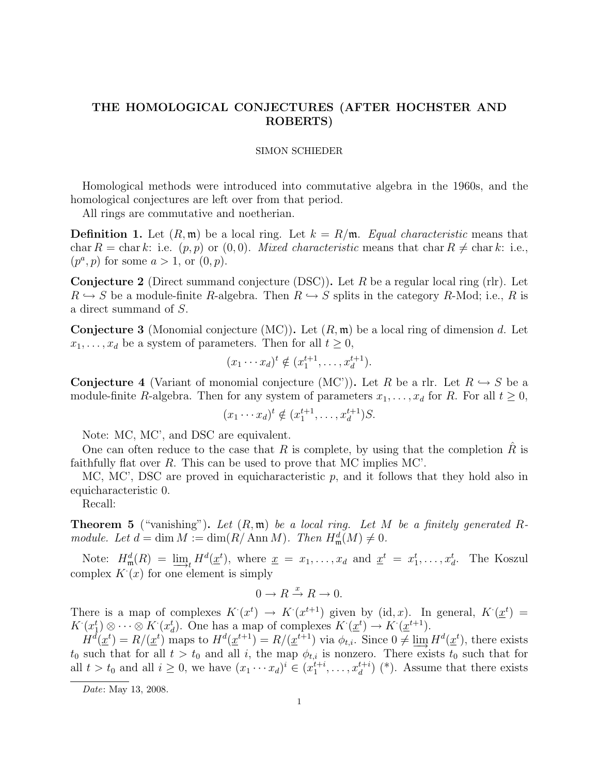## THE HOMOLOGICAL CONJECTURES (AFTER HOCHSTER AND ROBERTS)

## SIMON SCHIEDER

Homological methods were introduced into commutative algebra in the 1960s, and the homological conjectures are left over from that period.

All rings are commutative and noetherian.

**Definition 1.** Let  $(R, \mathfrak{m})$  be a local ring. Let  $k = R/\mathfrak{m}$ . Equal characteristic means that char R = char k: i.e.  $(p, p)$  or  $(0, 0)$ . Mixed characteristic means that char R  $\neq$  char k: i.e.,  $(p^a, p)$  for some  $a > 1$ , or  $(0, p)$ .

**Conjecture 2** (Direct summand conjecture (DSC)). Let R be a regular local ring (rlr). Let  $R \hookrightarrow S$  be a module-finite R-algebra. Then  $R \hookrightarrow S$  splits in the category R-Mod; i.e., R is a direct summand of S.

**Conjecture 3** (Monomial conjecture  $(MC)$ ). Let  $(R, m)$  be a local ring of dimension d. Let  $x_1, \ldots, x_d$  be a system of parameters. Then for all  $t \geq 0$ ,

$$
(x_1 \cdots x_d)^t \notin (x_1^{t+1}, \ldots, x_d^{t+1}).
$$

**Conjecture 4** (Variant of monomial conjecture  $(MC')$ ). Let R be a rlr. Let  $R \hookrightarrow S$  be a module-finite R-algebra. Then for any system of parameters  $x_1, \ldots, x_d$  for R. For all  $t \geq 0$ ,

$$
(x_1 \cdots x_d)^t \notin (x_1^{t+1}, \ldots, x_d^{t+1})S.
$$

Note: MC, MC', and DSC are equivalent.

One can often reduce to the case that R is complete, by using that the completion R is faithfully flat over R. This can be used to prove that MC implies MC'.

MC, MC', DSC are proved in equicharacteristic  $p$ , and it follows that they hold also in equicharacteristic 0.

Recall:

**Theorem 5** ("vanishing"). Let  $(R, \mathfrak{m})$  be a local ring. Let M be a finitely generated Rmodule. Let  $d = \dim M := \dim(R/\operatorname{Ann} M)$ . Then  $H^d_{\mathfrak{m}}(M) \neq 0$ .

Note:  $H_{\text{m}}^d(R) = \lim_{t \to t} H^d(\underline{x}^t)$ , where  $\underline{x} = x_1, \dots, x_d$  and  $\underline{x}^t = x_1^t, \dots, x_d^t$ . The Koszul complex  $K(x)$  for one element is simply

$$
0 \to R \xrightarrow{x} R \to 0.
$$

There is a map of complexes  $K(x^t) \to K(x^{t+1})$  given by (id, x). In general,  $K(x^t) =$  $K^{\cdot}(x_1^t) \otimes \cdots \otimes K^{\cdot}(x_d^t)$ . One has a map of complexes  $K^{\cdot}(\underline{x}^t) \to K^{\cdot}(\underline{x}^{t+1})$ .

 $H^d(\underline{x}^t) = R/(\underline{x}^t)$  maps to  $H^d(\underline{x}^{t+1}) = R/(\underline{x}^{t+1})$  via  $\phi_{t,i}$ . Since  $0 \neq \underline{\lim} H^d(\underline{x}^t)$ , there exists  $t_0$  such that for all  $t > t_0$  and all i, the map  $\phi_{t,i}$  is nonzero. There exists  $t_0$  such that for all  $t > t_0$  and all  $i \geq 0$ , we have  $(x_1 \cdots x_d)^i \in (x_1^{t+i}, \ldots, x_d^{t+i})$  (\*). Assume that there exists

Date: May 13, 2008.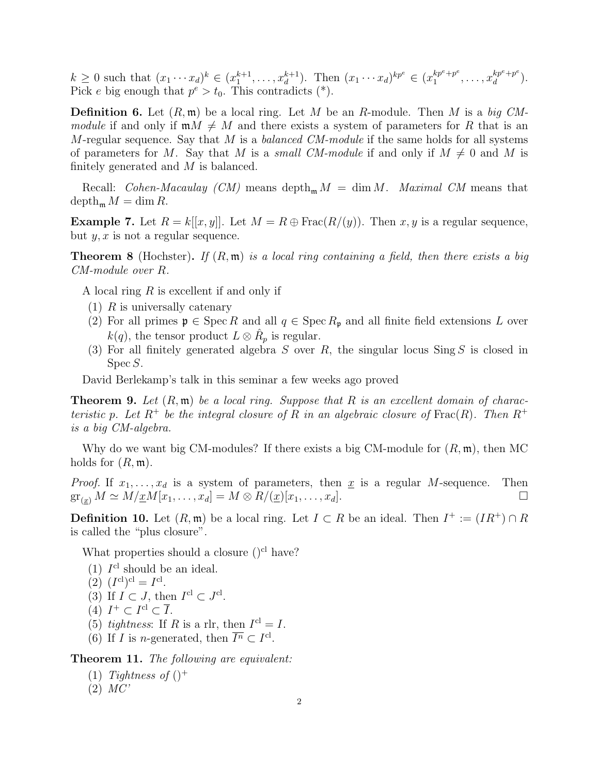$k \geq 0$  such that  $(x_1 \cdots x_d)^k \in (x_1^{k+1}, \ldots, x_d^{k+1})$ . Then  $(x_1 \cdots x_d)^{kp^e} \in (x_1^{kp^e+p^e})$  $x_1^{kp^e+p^e}, \ldots, x_d^{kp^e+p^e}$  $a^{kp^c+p^c}$ ). Pick e big enough that  $p^e > t_0$ . This contradicts (\*).

**Definition 6.** Let  $(R, \mathfrak{m})$  be a local ring. Let M be an R-module. Then M is a big CMmodule if and only if  $mM \neq M$  and there exists a system of parameters for R that is an M-regular sequence. Say that M is a balanced CM-module if the same holds for all systems of parameters for M. Say that M is a small CM-module if and only if  $M \neq 0$  and M is finitely generated and M is balanced.

Recall: *Cohen-Macaulay* (*CM*) means depth<sub>m</sub>  $M = \dim M$ . *Maximal CM* means that  $\operatorname{depth}_{\mathfrak{m}} M = \dim R$ .

**Example 7.** Let  $R = k[[x, y]]$ . Let  $M = R \oplus \text{Frac}(R/(y))$ . Then  $x, y$  is a regular sequence, but  $y, x$  is not a regular sequence.

**Theorem 8** (Hochster). If  $(R, \mathfrak{m})$  is a local ring containing a field, then there exists a big CM-module over R.

A local ring R is excellent if and only if

- $(1)$  R is universally catenary
- (2) For all primes  $\mathfrak{p} \in \operatorname{Spec} R$  and all  $q \in \operatorname{Spec} R_{\mathfrak{p}}$  and all finite field extensions L over  $k(q)$ , the tensor product  $L \otimes \hat{R}_p$  is regular.
- (3) For all finitely generated algebra S over R, the singular locus  $\text{Sing } S$  is closed in Spec S.

David Berlekamp's talk in this seminar a few weeks ago proved

**Theorem 9.** Let  $(R, \mathfrak{m})$  be a local ring. Suppose that R is an excellent domain of characteristic p. Let  $R^+$  be the integral closure of R in an algebraic closure of Frac $(R)$ . Then  $R^+$ is a big CM-algebra.

Why do we want big CM-modules? If there exists a big CM-module for  $(R, \mathfrak{m})$ , then MC holds for  $(R, \mathfrak{m})$ .

*Proof.* If  $x_1, \ldots, x_d$  is a system of parameters, then  $\underline{x}$  is a regular M-sequence. Then  $\operatorname{gr}_{(\underline{x})} M \simeq M / \underline{x} M [x_1, \dots, x_d] = M \otimes R / (\underline{x}) [x_1, \dots, x_d].$ 

**Definition 10.** Let  $(R, \mathfrak{m})$  be a local ring. Let  $I \subset R$  be an ideal. Then  $I^+ := (IR^+) \cap R$ is called the "plus closure".

What properties should a closure  $()^{cl}$  have?

(1)  $I<sup>cl</sup>$  should be an ideal.

(2) 
$$
(I^{\text{cl}})^{\text{cl}} = I^{\text{cl}}.
$$

- (3) If  $I \subset J$ , then  $I^{\text{cl}} \subset J^{\text{cl}}$ .
- (4)  $I^+ \subset I^{\text{cl}} \subset \overline{I}$ .
- (5) tightness: If R is a rlr, then  $I<sup>cl</sup> = I$ .
- (6) If *I* is *n*-generated, then  $\overline{I^n} \subset I^{\text{cl}}$ .

Theorem 11. The following are equivalent:

- (1) Tightness of  $()^+$
- $(2)$   $MC'$